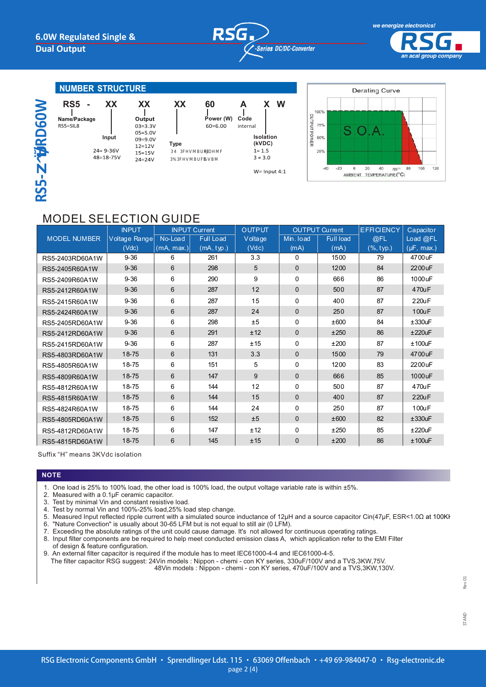



an acal group company

### **NUMBER STRUCTURE**

|                         | RS <sub>5</sub>          |
|-------------------------|--------------------------|
|                         | Name/Package<br>RS5=SIL8 |
| $\overline{\mathbf{u}}$ | 2<br>۷                   |
|                         |                          |
| ш                       |                          |

| XX             | XX        |  |  |
|----------------|-----------|--|--|
| ۱e             | Outp      |  |  |
|                | $03 = 3.$ |  |  |
|                | $05 = 5.$ |  |  |
| Input          | $09 = 9.$ |  |  |
|                | $12 = 12$ |  |  |
| $24 = 9 - 36V$ | $15 = 15$ |  |  |
| 48=18-75V      | າ າ – າ າ |  |  |

**ut**  $.3V$  $.0<sub>V</sub>$  $.0<sub>V</sub>$  $2V$ 5V  $74 = 24V$ 

**Type**  $\overline{2}$ 

 $\mathbb{R}$ 

**XX** 

60

<sub>12</sub>

 $\overline{p}$ 

Power (W)

 $60 = 6.00$ 

 $\overline{\mathbf{A}}$ x w  $\mathbf{I}$ Code internal Isolation (kVDC)  $1 = 1.5$  $3 = 3.0$ 

 $W =$  Input 4:1



# **MODEL SELECTION GUIDE**

|                     | <b>INPUT</b>  | <b>INPUT Current</b> |                  | <b>OUTPUT</b> | <b>OUTPUT Current</b> |                  | <b>EFFICIENCY</b> | Capacitor       |
|---------------------|---------------|----------------------|------------------|---------------|-----------------------|------------------|-------------------|-----------------|
| <b>MODEL NUMBER</b> | Voltage Range | No-Load              | <b>Full Load</b> | Voltage       | Min. load             | <b>Full load</b> | @FL               | Load @FL        |
|                     | (Vdc)         | (mA, max.)           | (mA, typ.)       | (Vdc)         | (mA)                  | (mA)             | ( %, typ.)        | $(\mu F, max.)$ |
| RS5-2403RD60A1W     | $9 - 36$      | 6                    | 261              | 3.3           | 0                     | 1500             | 79                | 4700uF          |
| RS5-2405R60A1W      | $9 - 36$      | 6                    | 298              | 5             | $\mathbf{0}$          | 1200             | 84                | 2200 uF         |
| RS5-2409R60A1W      | $9 - 36$      | 6                    | 290              | 9             | $\Omega$              | 666              | 86                | 1000uF          |
| RS5-2412R60A1W      | $9 - 36$      | 6                    | 287              | 12            | $\mathbf{0}$          | 500              | 87                | 470uF           |
| RS5-2415R60A1W      | $9 - 36$      | 6                    | 287              | 15            | $\Omega$              | 400              | 87                | 220uF           |
| RS5-2424R60A1W      | $9 - 36$      | 6                    | 287              | 24            | $\mathbf{0}$          | 250              | 87                | 100uF           |
| RS5-2405RD60A1W     | $9 - 36$      | 6                    | 298              | ±5            | $\Omega$              | ±600             | 84                | $±330$ u $F$    |
| RS5-2412RD60A1W     | $9 - 36$      | 6                    | 291              | ±12           | $\mathbf{0}$          | ±250             | 86                | ±220uF          |
| RS5-2415RD60A1W     | $9 - 36$      | 6                    | 287              | ±15           | $\Omega$              | ±200             | 87                | $±100$ u $F$    |
| RS5-4803RD60A1W     | 18-75         | 6                    | 131              | 3.3           | $\mathbf{0}$          | 1500             | 79                | 4700uF          |
| RS5-4805R60A1W      | 18-75         | 6                    | 151              | 5             | $\Omega$              | 1200             | 83                | 2200 uF         |
| RS5-4809R60A1W      | 18-75         | 6                    | 147              | 9             | $\mathbf{0}$          | 666              | 85                | 1000 uF         |
| RS5-4812R60A1W      | 18-75         | 6                    | 144              | 12            | $\Omega$              | 500              | 87                | 470uF           |
| RS5-4815R60A1W      | 18-75         | 6                    | 144              | 15            | $\Omega$              | 400              | 87                | 220uF           |
| RS5-4824R60A1W      | 18-75         | 6                    | 144              | 24            | $\Omega$              | 250              | 87                | 100uF           |
| RS5-4805RD60A1W     | 18-75         | 6                    | 152              | ±5            | $\mathbf{0}$          | ±600             | 82                | ±330uF          |
| RS5-4812RD60A1W     | 18-75         | 6                    | 147              | ±12           | $\Omega$              | ±250             | 85                | ±220uF          |
| RS5-4815RD60A1W     | 18-75         | 6                    | 145              | ±15           | $\mathbf{0}$          | ±200             | 86                | $±100$ uF       |

Suffix "H" means 3KVdc isolation

#### **NOTE**

- 1. One load is 25% to 100% load, the other load is 100% load, the output voltage variable rate is within ±5%.
- $2.$ Measured with a 0.1µF ceramic capacitor.
- Test by minimal Vin and constant resistive load.  $\mathcal{R}$
- $\overline{4}$ Test by normal Vin and 100%-25% load, 25% load step change.
- 5. Measured Input reflected ripple current with a simulated source inductance of 12μH and a source capacitor Cin(47μF, ESR<1.0Ω at 100KH
- 6. "Nature Convection" is usually about 30-65 LFM but is not equal to still air (0 LFM).
- 
- 7. Exceeding the absolute ratings of the unit could cause damage. It's not allowed for continuous operating ratings.<br>8. Input filter components are be required to help meet conducted emission class A, which application ref

of design & feature configuration. 9. An external filter capacitor is required if the module has to meet IEC61000-4-4 and IEC61000-4-5.

The filter capacitor RSG suggest: 24Vin models : Nippon - chemi - con KY series, 330uF/100V and a TVS,3KW,75V. 48Vin models : Nippon - chemi - con KY series, 470uF/100V and a TVS, 3KW, 130V.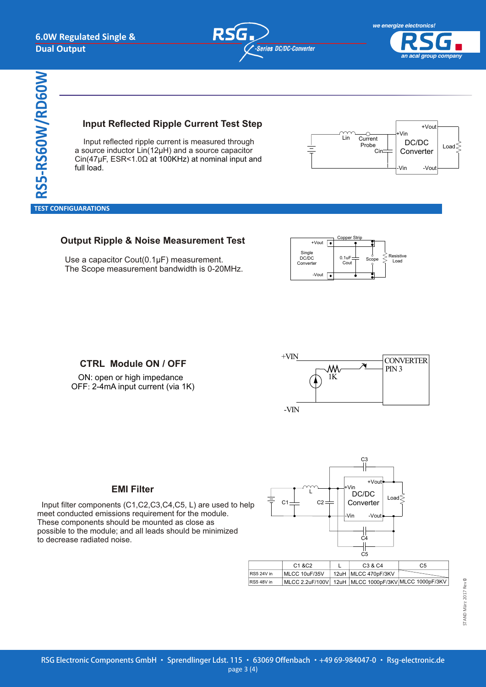

*an acal group company*

**RS5-RS60W/RD60W** full load. *VBW - 6W 4:1 Regulated Single & Dual output* **TEST CONFIGURATION** 

#### **Currant Toet Input Reflected Ripple Current Test Step Input Reflected Ripple Current Test Step**

*VBW - 6W 4:1 Regulated Single & Dual output*

 Input reflected ripple current is measured through a source inductor Lin(12μH) and a source capacitor  $\alpha$  source inductor Lin(12 $\mu$ H) and a source capacitor  $\alpha$ Cin(47μF, ESR<1.0Ω at 100KHz) at nominal input and Cin(47μF, ESR<1.0Ω at 100KHz) at nominal input and Input reflected ripple current is measured through full load.



 **TEST CONFIGUARATIONS**

# **Output Ripple & Noise Measurement Test Output Ripple & Noise Measurement Test**

 Use a capacitor Cout(0.1μF) measurement. Use a capacitor Cout(0.1μF) measurement. The Scope measurement bandwidth is 0-20MHz. The Scope measurement bandwidth is 0-20MHz.



OFF: 2-4mA input current (via 1K) OFF: 2-4mA input current (via 1K)



# **EMI Filter EMI Filter**

or e-mail to : sales@motien.com.tw

Input filter components (C1,C2,C3,C4,C5, L) are used to help  $\overline{a}$ meet conducted emissions requirement for the module. meet conducted emissions requirement for the module. These components should be mounted as close as These components should be mounted as close as possible to the module; and all leads should be minimized possible to the module; and all leads should be minimized to decrease radiated noise. to decrease radiated noise.



The models listed above is just for standard type. If you need the special specification product, please contact our service member by telephone presented in s h o rtf o rm c o v e r